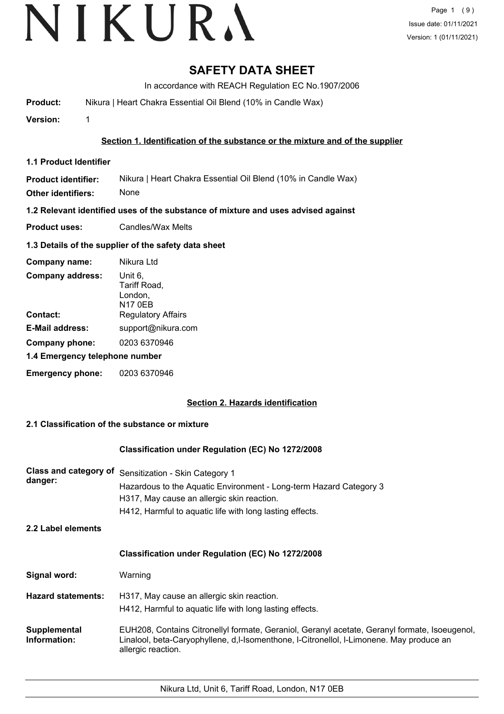# VIKURA

# **SAFETY DATA SHEET**

In accordance with REACH Regulation EC No.1907/2006

**Product:** Nikura | Heart Chakra Essential Oil Blend (10% in Candle Wax)

**Version:** 1

# **Section 1. Identification of the substance or the mixture and of the supplier**

**1.1 Product Identifier**

**Product identifier: Other identifiers:** Nikura | Heart Chakra Essential Oil Blend (10% in Candle Wax) None

**1.2 Relevant identified uses of the substance of mixture and uses advised against**

**Product uses:** Candles/Wax Melts

# **1.3 Details of the supplier of the safety data sheet**

| Company name:                  | Nikura Ltd                                    |  |
|--------------------------------|-----------------------------------------------|--|
| <b>Company address:</b>        | Unit 6,<br>Tariff Road,<br>London,<br>N17 0EB |  |
| Contact:                       | <b>Regulatory Affairs</b>                     |  |
| <b>E-Mail address:</b>         | support@nikura.com                            |  |
| Company phone:                 | 0203 6370946                                  |  |
| 1.4 Emergency telephone number |                                               |  |
| <b>Emergency phone:</b>        | 0203 6370946                                  |  |

# **Section 2. Hazards identification**

# **2.1 Classification of the substance or mixture**

# **Classification under Regulation (EC) No 1272/2008**

| danger:            | Class and category of Sensitization - Skin Category 1              |
|--------------------|--------------------------------------------------------------------|
|                    | Hazardous to the Aquatic Environment - Long-term Hazard Category 3 |
|                    | H317, May cause an allergic skin reaction.                         |
|                    | H412, Harmful to aquatic life with long lasting effects.           |
| 2.2 Label elements |                                                                    |
|                    |                                                                    |

### **Classification under Regulation (EC) No 1272/2008**

| Signal word: | Warning |
|--------------|---------|
|--------------|---------|

- **Hazard statements:** H317, May cause an allergic skin reaction. H412, Harmful to aquatic life with long lasting effects.
- EUH208, Contains Citronellyl formate, Geraniol, Geranyl acetate, Geranyl formate, Isoeugenol, Linalool, beta-Caryophyllene, d,l-Isomenthone, l-Citronellol, l-Limonene. May produce an allergic reaction. **Supplemental Information:**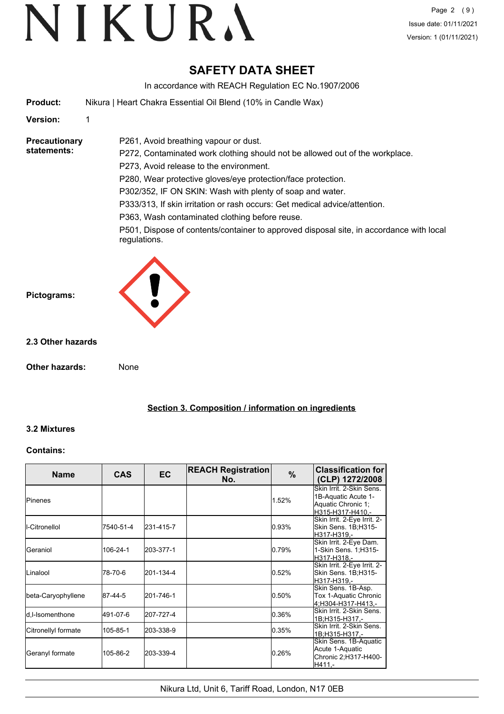# **SAFETY DATA SHEET**

In accordance with REACH Regulation EC No.1907/2006

**Product:** Nikura | Heart Chakra Essential Oil Blend (10% in Candle Wax)

P261, Avoid breathing vapour or dust.

# **Version:** 1

**Precautionary statements:**

P272, Contaminated work clothing should not be allowed out of the workplace. P273, Avoid release to the environment.

P280, Wear protective gloves/eye protection/face protection.

P302/352, IF ON SKIN: Wash with plenty of soap and water.

P333/313, If skin irritation or rash occurs: Get medical advice/attention.

P363, Wash contaminated clothing before reuse.

P501, Dispose of contents/container to approved disposal site, in accordance with local regulations.



# **2.3 Other hazards**

**Other hazards:** None

**Section 3. Composition / information on ingredients**

# **3.2 Mixtures**

# **Contains:**

| <b>Name</b>         | <b>CAS</b> | <b>EC</b> | <b>REACH Registration</b><br>No. | $\%$  | <b>Classification for</b><br>(CLP) 1272/2008                                              |
|---------------------|------------|-----------|----------------------------------|-------|-------------------------------------------------------------------------------------------|
| <b>I</b> Pinenes    |            |           |                                  | 1.52% | Skin Irrit, 2-Skin Sens.<br>1B-Aquatic Acute 1-<br>Aquatic Chronic 1;<br>H315-H317-H410 - |
| I-Citronellol       | 7540-51-4  | 231-415-7 |                                  | 0.93% | Skin Irrit. 2-Eye Irrit. 2-<br>Skin Sens. 1B;H315-<br>H317-H319,-                         |
| Geraniol            | 106-24-1   | 203-377-1 |                                  | 0.79% | Skin Irrit. 2-Eye Dam.<br>1-Skin Sens. 1;H315-<br>H317-H318,-                             |
| Linalool            | 78-70-6    | 201-134-4 |                                  | 0.52% | Skin Irrit. 2-Eye Irrit. 2-<br>Skin Sens. 1B;H315-<br>H317-H319,-                         |
| beta-Caryophyllene  | 87-44-5    | 201-746-1 |                                  | 0.50% | Skin Sens. 1B-Asp.<br>Tox 1-Aquatic Chronic<br>4:H304-H317-H413.-                         |
| ld.l-Isomenthone    | 491-07-6   | 207-727-4 |                                  | 0.36% | Skin Irrit, 2-Skin Sens.<br>1B;H315-H317,-                                                |
| Citronellyl formate | 105-85-1   | 203-338-9 |                                  | 0.35% | Skin Irrit. 2-Skin Sens.<br>1B;H315-H317,-                                                |
| Geranyl formate     | 105-86-2   | 203-339-4 |                                  | 0.26% | Skin Sens. 1B-Aquatic<br>Acute 1-Aquatic<br>Chronic 2; H317-H400-<br>H411,-               |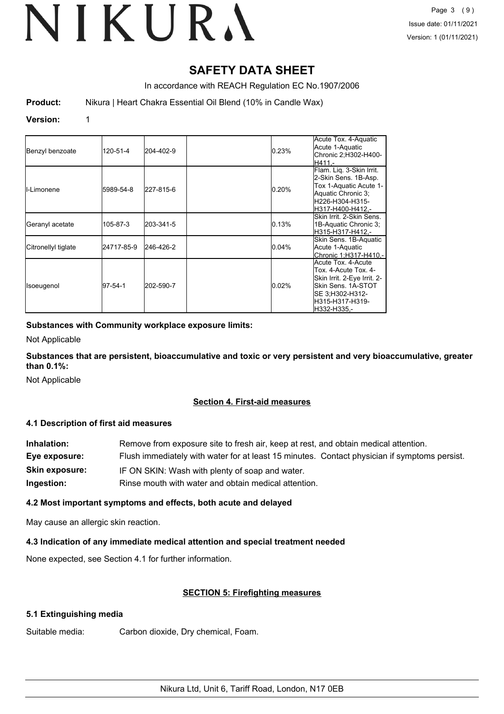# **SAFETY DATA SHEET**

In accordance with REACH Regulation EC No.1907/2006

**Product:** Nikura | Heart Chakra Essential Oil Blend (10% in Candle Wax)

# **Version:** 1

| Benzyl benzoate     | 120-51-4   | 204-402-9 | 0.23% | Acute Tox. 4-Aquatic<br>Acute 1-Aquatic<br>Chronic 2;H302-H400-<br>H411.-                                                                             |
|---------------------|------------|-----------|-------|-------------------------------------------------------------------------------------------------------------------------------------------------------|
| II-Limonene         | 5989-54-8  | 227-815-6 | 0.20% | Flam. Liq. 3-Skin Irrit.<br>2-Skin Sens. 1B-Asp.<br>Tox 1-Aquatic Acute 1-<br>Aquatic Chronic 3;<br>H226-H304-H315-<br>H317-H400-H412.-               |
| Geranyl acetate     | 105-87-3   | 203-341-5 | 0.13% | Skin Irrit, 2-Skin Sens.<br>1B-Aquatic Chronic 3;<br>lH315-H317-H412.-                                                                                |
| Citronellyl tiglate | 24717-85-9 | 246-426-2 | 0.04% | Skin Sens. 1B-Aquatic<br>Acute 1-Aquatic<br>Chronic 1:H317-H410.-                                                                                     |
| Isoeugenol          | 97-54-1    | 202-590-7 | 0.02% | Acute Tox, 4-Acute<br>Tox. 4-Acute Tox. 4-<br>Skin Irrit. 2-Eye Irrit. 2-<br>Skin Sens. 1A-STOT<br>SE 3;H302-H312-<br>lH315-H317-H319-<br>H332-H335,- |

# **Substances with Community workplace exposure limits:**

Not Applicable

**Substances that are persistent, bioaccumulative and toxic or very persistent and very bioaccumulative, greater than 0.1%:**

Not Applicable

# **Section 4. First-aid measures**

# **4.1 Description of first aid measures**

| Inhalation:           | Remove from exposure site to fresh air, keep at rest, and obtain medical attention.          |
|-----------------------|----------------------------------------------------------------------------------------------|
| Eye exposure:         | Flush immediately with water for at least 15 minutes. Contact physician if symptoms persist. |
| <b>Skin exposure:</b> | IF ON SKIN: Wash with plenty of soap and water.                                              |
| Ingestion:            | Rinse mouth with water and obtain medical attention.                                         |

# **4.2 Most important symptoms and effects, both acute and delayed**

May cause an allergic skin reaction.

# **4.3 Indication of any immediate medical attention and special treatment needed**

None expected, see Section 4.1 for further information.

# **SECTION 5: Firefighting measures**

# **5.1 Extinguishing media**

Suitable media: Carbon dioxide, Dry chemical, Foam.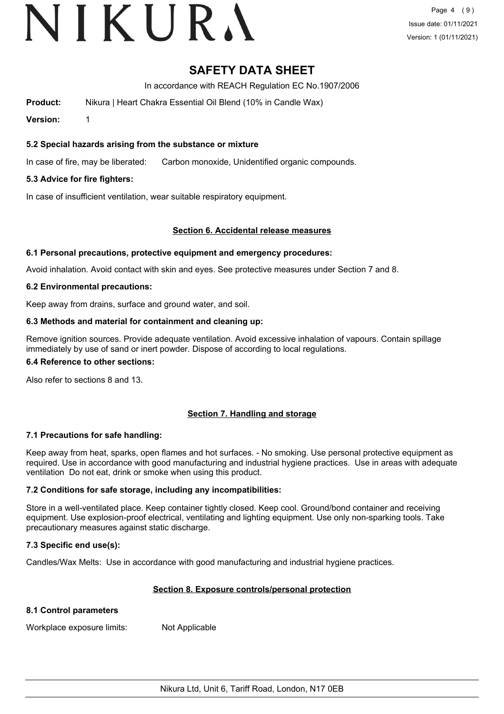# VIKURA

# **SAFETY DATA SHEET**

In accordance with REACH Regulation EC No.1907/2006

**Product:** Nikura | Heart Chakra Essential Oil Blend (10% in Candle Wax)

**Version:** 1

# **5.2 Special hazards arising from the substance or mixture**

In case of fire, may be liberated: Carbon monoxide, Unidentified organic compounds.

# **5.3 Advice for fire fighters:**

In case of insufficient ventilation, wear suitable respiratory equipment.

# **Section 6. Accidental release measures**

# **6.1 Personal precautions, protective equipment and emergency procedures:**

Avoid inhalation. Avoid contact with skin and eyes. See protective measures under Section 7 and 8.

# **6.2 Environmental precautions:**

Keep away from drains, surface and ground water, and soil.

# **6.3 Methods and material for containment and cleaning up:**

Remove ignition sources. Provide adequate ventilation. Avoid excessive inhalation of vapours. Contain spillage immediately by use of sand or inert powder. Dispose of according to local regulations.

### **6.4 Reference to other sections:**

Also refer to sections 8 and 13.

# **Section 7. Handling and storage**

# **7.1 Precautions for safe handling:**

Keep away from heat, sparks, open flames and hot surfaces. - No smoking. Use personal protective equipment as required. Use in accordance with good manufacturing and industrial hygiene practices. Use in areas with adequate ventilation Do not eat, drink or smoke when using this product.

# **7.2 Conditions for safe storage, including any incompatibilities:**

Store in a well-ventilated place. Keep container tightly closed. Keep cool. Ground/bond container and receiving equipment. Use explosion-proof electrical, ventilating and lighting equipment. Use only non-sparking tools. Take precautionary measures against static discharge.

# **7.3 Specific end use(s):**

Candles/Wax Melts: Use in accordance with good manufacturing and industrial hygiene practices.

# **Section 8. Exposure controls/personal protection**

# **8.1 Control parameters**

Workplace exposure limits: Not Applicable

Nikura Ltd, Unit 6, Tariff Road, London, N17 0EB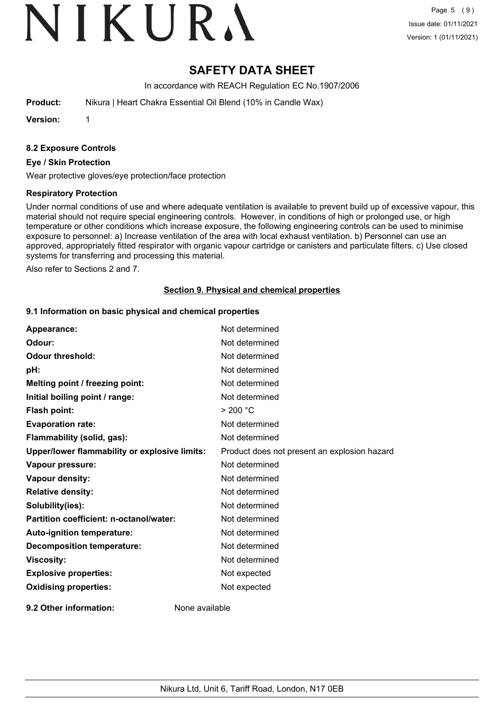# VIKURA

# **SAFETY DATA SHEET**

In accordance with REACH Regulation EC No.1907/2006

**Product:** Nikura | Heart Chakra Essential Oil Blend (10% in Candle Wax)

**Version:** 1

# **8.2 Exposure Controls**

### **Eye / Skin Protection**

Wear protective gloves/eye protection/face protection

### **Respiratory Protection**

Under normal conditions of use and where adequate ventilation is available to prevent build up of excessive vapour, this material should not require special engineering controls. However, in conditions of high or prolonged use, or high temperature or other conditions which increase exposure, the following engineering controls can be used to minimise exposure to personnel: a) Increase ventilation of the area with local exhaust ventilation. b) Personnel can use an approved, appropriately fitted respirator with organic vapour cartridge or canisters and particulate filters. c) Use closed systems for transferring and processing this material.

Also refer to Sections 2 and 7.

# **Section 9. Physical and chemical properties**

# **9.1 Information on basic physical and chemical properties**

| Appearance:                                   | Not determined                               |
|-----------------------------------------------|----------------------------------------------|
| Odour:                                        | Not determined                               |
| <b>Odour threshold:</b>                       | Not determined                               |
| pH:                                           | Not determined                               |
| Melting point / freezing point:               | Not determined                               |
| Initial boiling point / range:                | Not determined                               |
| Flash point:                                  | > 200 °C                                     |
| <b>Evaporation rate:</b>                      | Not determined                               |
| Flammability (solid, gas):                    | Not determined                               |
| Upper/lower flammability or explosive limits: | Product does not present an explosion hazard |
| Vapour pressure:                              | Not determined                               |
| Vapour density:                               | Not determined                               |
| <b>Relative density:</b>                      | Not determined                               |
| Solubility(ies):                              | Not determined                               |
| Partition coefficient: n-octanol/water:       | Not determined                               |
| Auto-ignition temperature:                    | Not determined                               |
| <b>Decomposition temperature:</b>             | Not determined                               |
| <b>Viscosity:</b>                             | Not determined                               |
| <b>Explosive properties:</b>                  | Not expected                                 |
| <b>Oxidising properties:</b>                  | Not expected                                 |
| 9.2 Other information:                        | None available                               |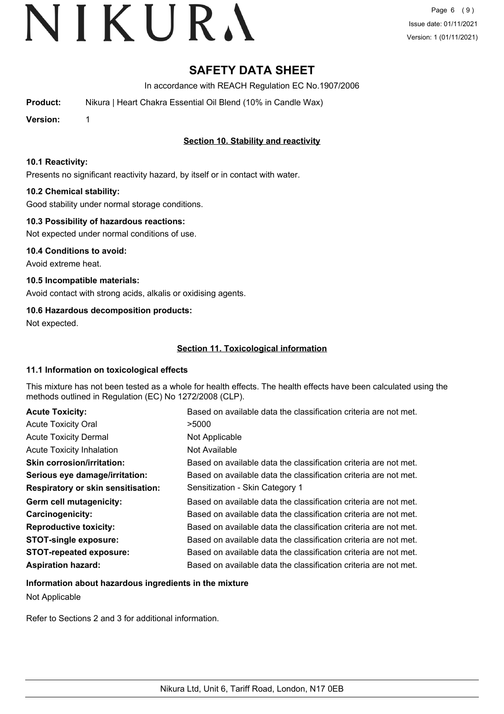# **SAFETY DATA SHEET**

In accordance with REACH Regulation EC No.1907/2006

**Product:** Nikura | Heart Chakra Essential Oil Blend (10% in Candle Wax)

**Version:** 1

# **Section 10. Stability and reactivity**

# **10.1 Reactivity:**

Presents no significant reactivity hazard, by itself or in contact with water.

# **10.2 Chemical stability:**

Good stability under normal storage conditions.

# **10.3 Possibility of hazardous reactions:**

Not expected under normal conditions of use.

**10.4 Conditions to avoid:** Avoid extreme heat.

**10.5 Incompatible materials:** Avoid contact with strong acids, alkalis or oxidising agents.

# **10.6 Hazardous decomposition products:**

Not expected.

# **Section 11. Toxicological information**

# **11.1 Information on toxicological effects**

This mixture has not been tested as a whole for health effects. The health effects have been calculated using the methods outlined in Regulation (EC) No 1272/2008 (CLP).

| <b>Acute Toxicity:</b>                    | Based on available data the classification criteria are not met. |
|-------------------------------------------|------------------------------------------------------------------|
| <b>Acute Toxicity Oral</b>                | >5000                                                            |
| <b>Acute Toxicity Dermal</b>              | Not Applicable                                                   |
| <b>Acute Toxicity Inhalation</b>          | Not Available                                                    |
| <b>Skin corrosion/irritation:</b>         | Based on available data the classification criteria are not met. |
| Serious eye damage/irritation:            | Based on available data the classification criteria are not met. |
| <b>Respiratory or skin sensitisation:</b> | Sensitization - Skin Category 1                                  |
| Germ cell mutagenicity:                   | Based on available data the classification criteria are not met. |
| <b>Carcinogenicity:</b>                   | Based on available data the classification criteria are not met. |
| <b>Reproductive toxicity:</b>             | Based on available data the classification criteria are not met. |
| <b>STOT-single exposure:</b>              | Based on available data the classification criteria are not met. |
| <b>STOT-repeated exposure:</b>            | Based on available data the classification criteria are not met. |
| <b>Aspiration hazard:</b>                 | Based on available data the classification criteria are not met. |

# **Information about hazardous ingredients in the mixture**

Not Applicable

Refer to Sections 2 and 3 for additional information.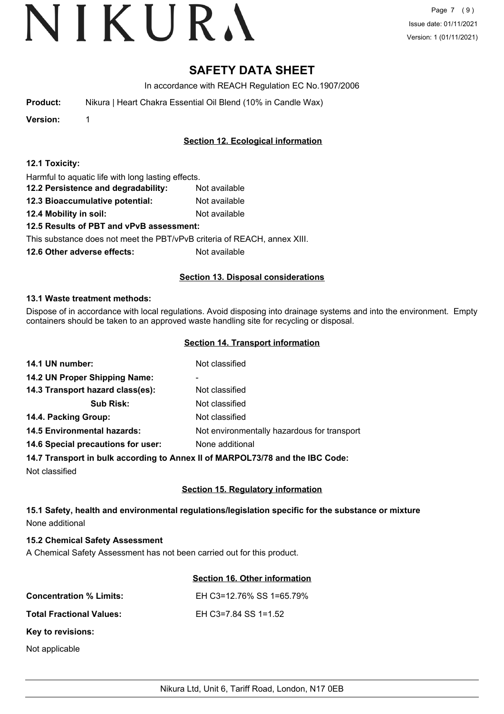# **SAFETY DATA SHEET**

In accordance with REACH Regulation EC No.1907/2006

| <b>Product:</b> | Nikura   Heart Chakra Essential Oil Blend (10% in Candle Wax) |
|-----------------|---------------------------------------------------------------|
|-----------------|---------------------------------------------------------------|

**Version:** 1

# **Section 12. Ecological information**

| 12.1 Toxicity: |  |
|----------------|--|
|----------------|--|

Harmful to aquatic life with long lasting effects.

- **12.2 Persistence and degradability:** Not available
- **12.3 Bioaccumulative potential:** Not available
- **12.4 Mobility in soil:** Not available

# **12.5 Results of PBT and vPvB assessment:**

This substance does not meet the PBT/vPvB criteria of REACH, annex XIII.

**12.6 Other adverse effects:** Not available

# **Section 13. Disposal considerations**

# **13.1 Waste treatment methods:**

Dispose of in accordance with local regulations. Avoid disposing into drainage systems and into the environment. Empty containers should be taken to an approved waste handling site for recycling or disposal.

# **Section 14. Transport information**

| 14.1 UN number:                    | Not classified                                                                                                  |
|------------------------------------|-----------------------------------------------------------------------------------------------------------------|
| 14.2 UN Proper Shipping Name:      | ٠                                                                                                               |
| 14.3 Transport hazard class(es):   | Not classified                                                                                                  |
| <b>Sub Risk:</b>                   | Not classified                                                                                                  |
| 14.4. Packing Group:               | Not classified                                                                                                  |
| <b>14.5 Environmental hazards:</b> | Not environmentally hazardous for transport                                                                     |
| 14.6 Special precautions for user: | None additional                                                                                                 |
|                                    | A A HI The concentration to the constitution of a concentration of the TA A concentration of the A concentratio |

# **14.7 Transport in bulk according to Annex II of MARPOL73/78 and the IBC Code:**

Not classified

# **Section 15. Regulatory information**

# **15.1 Safety, health and environmental regulations/legislation specific for the substance or mixture** None additional

# **15.2 Chemical Safety Assessment**

A Chemical Safety Assessment has not been carried out for this product.

# **Section 16. Other information**

| <b>Concentration % Limits:</b>  | EH C3=12.76% SS 1=65.79% |
|---------------------------------|--------------------------|
| <b>Total Fractional Values:</b> | EH C3=7.84 SS 1=1.52     |
| Key to revisions:               |                          |
| Not applicable                  |                          |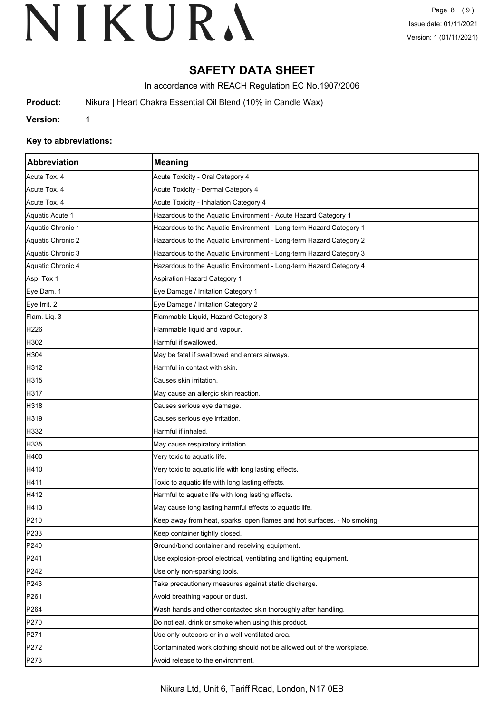# **SAFETY DATA SHEET**

In accordance with REACH Regulation EC No.1907/2006

**Product:** Nikura | Heart Chakra Essential Oil Blend (10% in Candle Wax)

**Version:** 1

# **Key to abbreviations:**

| Abbreviation      | <b>Meaning</b>                                                           |
|-------------------|--------------------------------------------------------------------------|
| Acute Tox. 4      | Acute Toxicity - Oral Category 4                                         |
| Acute Tox. 4      | Acute Toxicity - Dermal Category 4                                       |
| Acute Tox. 4      | Acute Toxicity - Inhalation Category 4                                   |
| Aquatic Acute 1   | Hazardous to the Aquatic Environment - Acute Hazard Category 1           |
| Aquatic Chronic 1 | Hazardous to the Aquatic Environment - Long-term Hazard Category 1       |
| Aquatic Chronic 2 | Hazardous to the Aquatic Environment - Long-term Hazard Category 2       |
| Aquatic Chronic 3 | Hazardous to the Aquatic Environment - Long-term Hazard Category 3       |
| Aquatic Chronic 4 | Hazardous to the Aquatic Environment - Long-term Hazard Category 4       |
| Asp. Tox 1        | <b>Aspiration Hazard Category 1</b>                                      |
| Eye Dam. 1        | Eye Damage / Irritation Category 1                                       |
| Eye Irrit. 2      | Eye Damage / Irritation Category 2                                       |
| Flam. Liq. 3      | Flammable Liquid, Hazard Category 3                                      |
| H226              | Flammable liquid and vapour.                                             |
| H302              | Harmful if swallowed.                                                    |
| H304              | May be fatal if swallowed and enters airways.                            |
| H312              | Harmful in contact with skin.                                            |
| H315              | Causes skin irritation.                                                  |
| H317              | May cause an allergic skin reaction.                                     |
| H318              | Causes serious eye damage.                                               |
| H319              | Causes serious eye irritation.                                           |
| H332              | Harmful if inhaled.                                                      |
| H335              | May cause respiratory irritation.                                        |
| H400              | Very toxic to aquatic life.                                              |
| H410              | Very toxic to aquatic life with long lasting effects.                    |
| H411              | Toxic to aquatic life with long lasting effects.                         |
| H412              | Harmful to aquatic life with long lasting effects.                       |
| H413              | May cause long lasting harmful effects to aquatic life.                  |
| P210              | Keep away from heat, sparks, open flames and hot surfaces. - No smoking. |
| P <sub>233</sub>  | Keep container tightly closed.                                           |
| P240              | Ground/bond container and receiving equipment.                           |
| P241              | Use explosion-proof electrical, ventilating and lighting equipment.      |
| P242              | Use only non-sparking tools.                                             |
| P243              | Take precautionary measures against static discharge.                    |
| P261              | Avoid breathing vapour or dust.                                          |
| P <sub>264</sub>  | Wash hands and other contacted skin thoroughly after handling.           |
| P270              | Do not eat, drink or smoke when using this product.                      |
| P271              | Use only outdoors or in a well-ventilated area.                          |
| P272              | Contaminated work clothing should not be allowed out of the workplace.   |
| P273              | Avoid release to the environment.                                        |